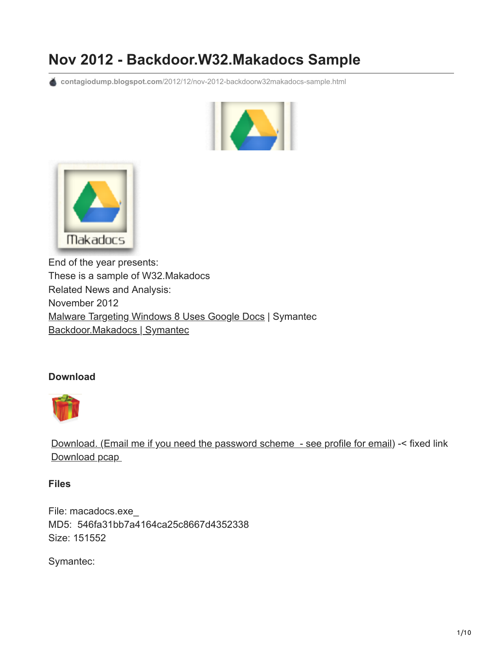# **Nov 2012 - Backdoor.W32.Makadocs Sample**

**contagiodump.blogspot.com**[/2012/12/nov-2012-backdoorw32makadocs-sample.html](http://contagiodump.blogspot.com/2012/12/nov-2012-backdoorw32makadocs-sample.html)





End of the year presents: These is a sample of W32.Makadocs Related News and Analysis: November 2012 [Malware Targeting Windows 8 Uses Google Docs](http://www.symantec.com/connect/blogs/malware-targeting-windows-8-uses-google-docs) | Symantec [Backdoor.Makadocs | Symantec](http://www.symantec.com/security_response/writeup.jsp?docid=2012-111609-4148-99)

# **Download**



[Download. \(Email me if you need the password scheme - see profile for email\)](http://www.mediafire.com/?9dxdxqn371mnfj1) -< fixed link Download pcap

# **Files**

File: macadocs.exe\_ MD5: 546fa31bb7a4164ca25c8667d4352338 Size: 151552

Symantec: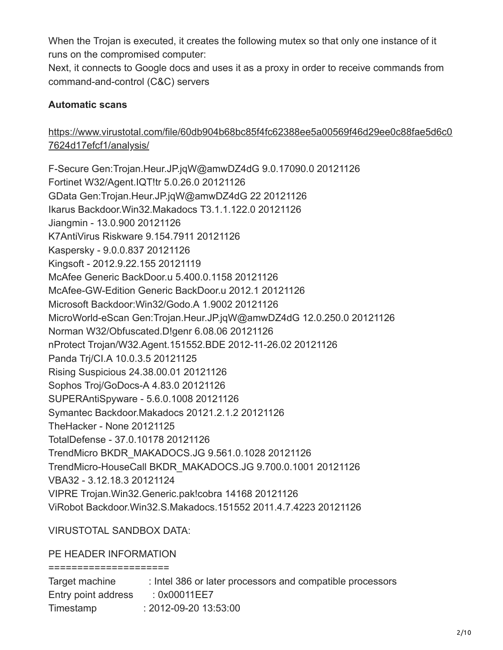When the Trojan is executed, it creates the following mutex so that only one instance of it runs on the compromised computer:

Next, it connects to Google docs and uses it as a proxy in order to receive commands from command-and-control (C&C) servers

# **Automatic scans**

# [https://www.virustotal.com/file/60db904b68bc85f4fc62388ee5a00569f46d29ee0c88fae5d6c0](https://www.virustotal.com/file/60db904b68bc85f4fc62388ee5a00569f46d29ee0c88fae5d6c07624d17efcf1/analysis/) 7624d17efcf1/analysis/

F-Secure Gen:Trojan.Heur.JP.jqW@amwDZ4dG 9.0.17090.0 20121126 Fortinet W32/Agent.IQT!tr 5.0.26.0 20121126 GData Gen:Trojan.Heur.JP.jqW@amwDZ4dG 22 20121126 Ikarus Backdoor.Win32.Makadocs T3.1.1.122.0 20121126 Jiangmin - 13.0.900 20121126 K7AntiVirus Riskware 9.154.7911 20121126 Kaspersky - 9.0.0.837 20121126 Kingsoft - 2012.9.22.155 20121119 McAfee Generic BackDoor.u 5.400.0.1158 20121126 McAfee-GW-Edition Generic BackDoor.u 2012.1 20121126 Microsoft Backdoor:Win32/Godo.A 1.9002 20121126 MicroWorld-eScan Gen:Trojan.Heur.JP.jqW@amwDZ4dG 12.0.250.0 20121126 Norman W32/Obfuscated.D!genr 6.08.06 20121126 nProtect Trojan/W32.Agent.151552.BDE 2012-11-26.02 20121126 Panda Trj/CI.A 10.0.3.5 20121125 Rising Suspicious 24.38.00.01 20121126 Sophos Troj/GoDocs-A 4.83.0 20121126 SUPERAntiSpyware - 5.6.0.1008 20121126 Symantec Backdoor.Makadocs 20121.2.1.2 20121126 TheHacker - None 20121125 TotalDefense - 37.0.10178 20121126 TrendMicro BKDR\_MAKADOCS.JG 9.561.0.1028 20121126 TrendMicro-HouseCall BKDR\_MAKADOCS.JG 9.700.0.1001 20121126 VBA32 - 3.12.18.3 20121124 VIPRE Trojan.Win32.Generic.pak!cobra 14168 20121126 ViRobot Backdoor.Win32.S.Makadocs.151552 2011.4.7.4223 20121126

# VIRUSTOTAL SANDBOX DATA:

# PE HEADER INFORMATION

=====================

| Target machine      | : Intel 386 or later processors and compatible processors |
|---------------------|-----------------------------------------------------------|
| Entry point address | : 0x00011EE7                                              |
| Timestamp           | $: 2012 - 09 - 2013.53.00$                                |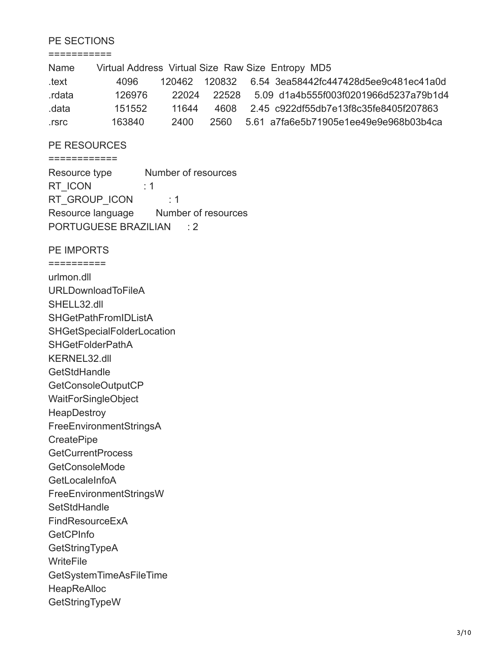#### PE SECTIONS

===========

| Name   |        |       |       | Virtual Address Virtual Size Raw Size Entropy MD5      |
|--------|--------|-------|-------|--------------------------------------------------------|
| text   | 4096   |       |       | 120462  120832  6.54  3ea58442fc447428d5ee9c481ec41a0d |
| rdata. | 126976 | 22024 |       | 22528 5.09 d1a4b555f003f0201966d5237a79b1d4            |
| .data  | 151552 | 11644 |       | 4608 2.45 c922df55db7e13f8c35fe8405f207863             |
| .rsrc  | 163840 | 2400  | 2560. | 5.61 a7fa6e5b71905e1ee49e9e968b03b4ca                  |

#### PE RESOURCES ============

Resource type Number of resources RT\_ICON : 1 RT\_GROUP\_ICON : 1 Resource language Number of resources PORTUGUESE BRAZILIAN : 2

PE IMPORTS

========== urlmon.dll URLDownloadToFileA SHELL32.dll SHGetPathFromIDListA SHGetSpecialFolderLocation SHGetFolderPathA KERNEL32.dll **GetStdHandle** GetConsoleOutputCP WaitForSingleObject **HeapDestroy** FreeEnvironmentStringsA **CreatePipe GetCurrentProcess** GetConsoleMode **GetLocaleInfoA** FreeEnvironmentStringsW **SetStdHandle** FindResourceExA **GetCPInfo GetStringTypeA WriteFile** GetSystemTimeAsFileTime HeapReAlloc GetStringTypeW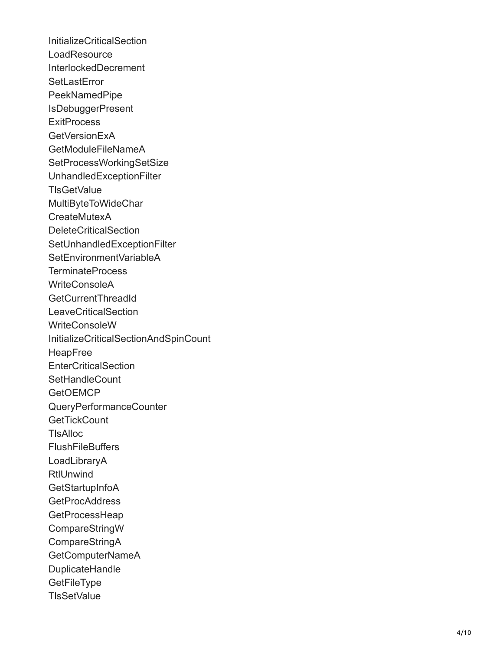InitializeCriticalSection **LoadResource** InterlockedDecrement **SetLastError** PeekNamedPipe IsDebuggerPresent **ExitProcess** GetVersionExA GetModuleFileNameA SetProcessWorkingSetSize UnhandledExceptionFilter **TIsGetValue** MultiByteToWideChar **CreateMutexA** DeleteCriticalSection SetUnhandledExceptionFilter SetEnvironmentVariableA TerminateProcess WriteConsoleA GetCurrentThreadId **LeaveCriticalSection** WriteConsoleW InitializeCriticalSectionAndSpinCount HeapFree **EnterCriticalSection SetHandleCount GetOEMCP** QueryPerformanceCounter **GetTickCount** TlsAlloc **FlushFileBuffers** LoadLibraryA **RtlUnwind GetStartupInfoA** GetProcAddress **GetProcessHeap** CompareStringW CompareStringA GetComputerNameA DuplicateHandle **GetFileType TIsSetValue**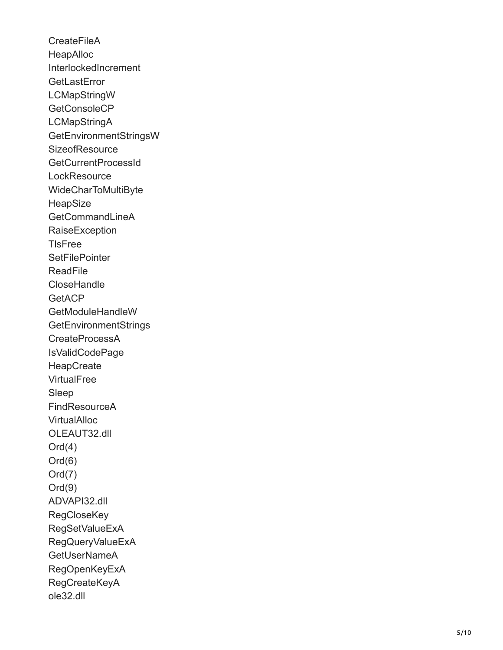**CreateFileA** HeapAlloc InterlockedIncrement **GetLastError** LCMapStringW GetConsoleCP **LCMapStringA** GetEnvironmentStringsW **SizeofResource** GetCurrentProcessId **LockResource** WideCharToMultiByte **HeapSize** GetCommandLineA **RaiseException TIsFree SetFilePointer ReadFile CloseHandle GetACP** GetModuleHandleW **GetEnvironmentStrings** CreateProcessA IsValidCodePage **HeapCreate VirtualFree** Sleep FindResourceA **VirtualAlloc** OLEAUT32.dll  $Ord(4)$ Ord(6) Ord(7) Ord(9) ADVAPI32.dll **RegCloseKey** RegSetValueExA RegQueryValueExA GetUserNameA RegOpenKeyExA RegCreateKeyA ole32.dll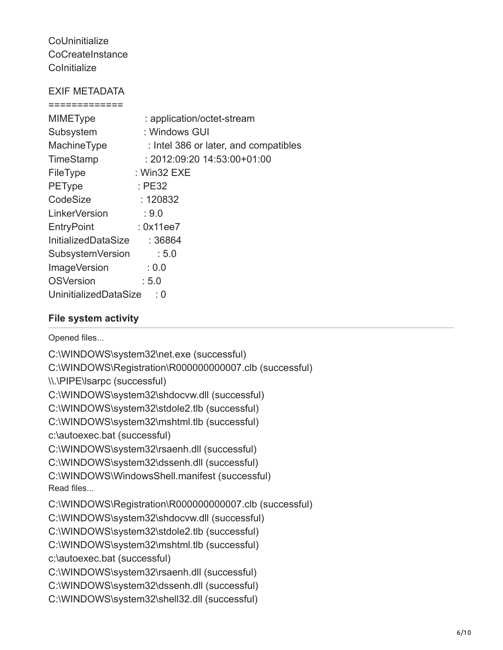**CoUninitialize CoCreateInstance Colnitialize** 

# EXIF METADATA

| <b>MIMEType</b>         | : application/octet-stream            |  |  |  |
|-------------------------|---------------------------------------|--|--|--|
| Subsystem               | : Windows GUI                         |  |  |  |
| MachineType             | : Intel 386 or later, and compatibles |  |  |  |
| TimeStamp               | $: 2012.09.2014.53.00+01.00$          |  |  |  |
| FileType                | $:$ Win32 EXE                         |  |  |  |
| <b>PEType</b>           | :PE32                                 |  |  |  |
| CodeSize                | : 120832                              |  |  |  |
| LinkerVersion           | :9.0                                  |  |  |  |
| <b>EntryPoint</b>       | : 0x11ee7                             |  |  |  |
| InitializedDataSize     | : 36864                               |  |  |  |
| <b>SubsystemVersion</b> | $\div 5.0$                            |  |  |  |
| <b>ImageVersion</b>     | : 0.0                                 |  |  |  |
| <b>OSVersion</b>        | : 5.0                                 |  |  |  |
| UninitializedDataSize   |                                       |  |  |  |

# **File system activity**

Opened files...

C:\WINDOWS\system32\net.exe (successful) C:\WINDOWS\Registration\R000000000007.clb (successful) \\.\PIPE\lsarpc (successful) C:\WINDOWS\system32\shdocvw.dll (successful) C:\WINDOWS\system32\stdole2.tlb (successful) C:\WINDOWS\system32\mshtml.tlb (successful) c:\autoexec.bat (successful) C:\WINDOWS\system32\rsaenh.dll (successful) C:\WINDOWS\system32\dssenh.dll (successful) C:\WINDOWS\WindowsShell.manifest (successful) Read files... C:\WINDOWS\Registration\R000000000007.clb (successful) C:\WINDOWS\system32\shdocvw.dll (successful) C:\WINDOWS\system32\stdole2.tlb (successful) C:\WINDOWS\system32\mshtml.tlb (successful) c:\autoexec.bat (successful) C:\WINDOWS\system32\rsaenh.dll (successful) C:\WINDOWS\system32\dssenh.dll (successful) C:\WINDOWS\system32\shell32.dll (successful)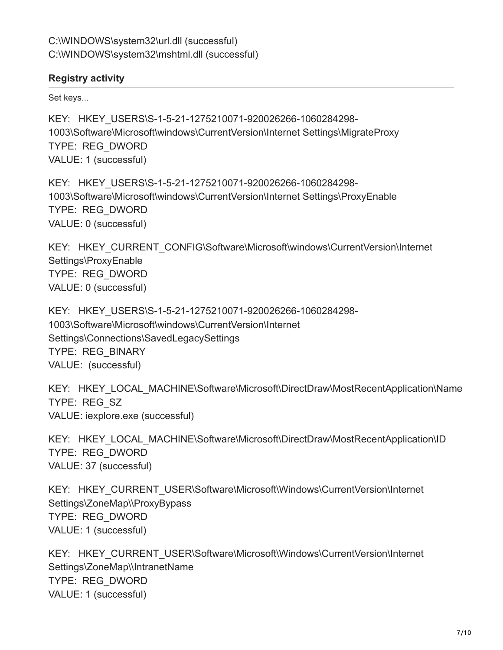# **Registry activity**

Set keys...

KEY: HKEY\_USERS\S-1-5-21-1275210071-920026266-1060284298- 1003\Software\Microsoft\windows\CurrentVersion\Internet Settings\MigrateProxy TYPE: REG\_DWORD VALUE: 1 (successful)

KEY: HKEY\_USERS\S-1-5-21-1275210071-920026266-1060284298- 1003\Software\Microsoft\windows\CurrentVersion\Internet Settings\ProxyEnable TYPE: REG\_DWORD VALUE: 0 (successful)

KEY: HKEY CURRENT CONFIG\Software\Microsoft\windows\CurrentVersion\Internet Settings\ProxyEnable TYPE: REG\_DWORD VALUE: 0 (successful)

KEY: HKEY\_USERS\S-1-5-21-1275210071-920026266-1060284298- 1003\Software\Microsoft\windows\CurrentVersion\Internet Settings\Connections\SavedLegacySettings TYPE: REG\_BINARY VALUE: (successful)

KEY: HKEY\_LOCAL\_MACHINE\Software\Microsoft\DirectDraw\MostRecentApplication\Name TYPE: REG\_SZ VALUE: iexplore.exe (successful)

KEY: HKEY\_LOCAL\_MACHINE\Software\Microsoft\DirectDraw\MostRecentApplication\ID TYPE: REG\_DWORD VALUE: 37 (successful)

KEY: HKEY CURRENT USER\Software\Microsoft\Windows\CurrentVersion\Internet Settings\ZoneMap\\ProxyBypass TYPE: REG\_DWORD VALUE: 1 (successful)

KEY: HKEY CURRENT USER\Software\Microsoft\Windows\CurrentVersion\Internet Settings\ZoneMap\\IntranetName TYPE: REG\_DWORD VALUE: 1 (successful)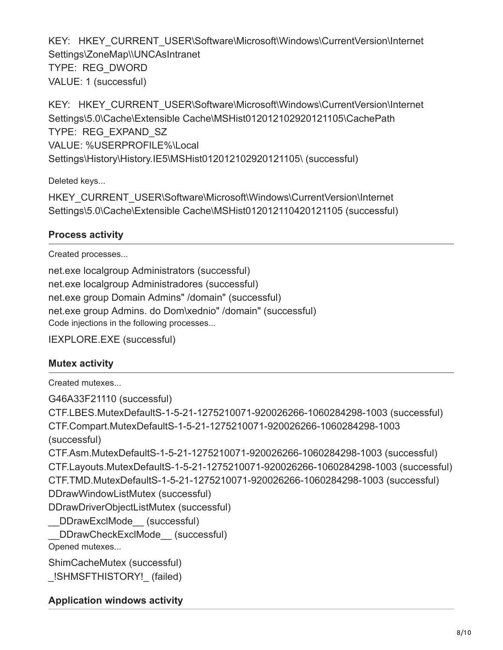KEY: HKEY CURRENT USER\Software\Microsoft\Windows\CurrentVersion\Internet Settings\ZoneMap\\UNCAsIntranet TYPE: REG\_DWORD VALUE: 1 (successful)

KEY: HKEY CURRENT USER\Software\Microsoft\Windows\CurrentVersion\Internet Settings\5.0\Cache\Extensible Cache\MSHist012012102920121105\CachePath TYPE: REG\_EXPAND\_SZ VALUE: %USERPROFILE%\Local Settings\History\History.IE5\MSHist012012102920121105\ (successful)

Deleted keys...

HKEY\_CURRENT\_USER\Software\Microsoft\Windows\CurrentVersion\Internet Settings\5.0\Cache\Extensible Cache\MSHist012012110420121105 (successful)

# **Process activity**

Created processes...

net.exe localgroup Administrators (successful) net.exe localgroup Administradores (successful) net.exe group Domain Admins" /domain" (successful) net.exe group Admins. do Dom\xednio" /domain" (successful) Code injections in the following processes...

IEXPLORE.EXE (successful)

# **Mutex activity**

Created mutexes...

G46A33F21110 (successful) CTF.LBES.MutexDefaultS-1-5-21-1275210071-920026266-1060284298-1003 (successful) CTF.Compart.MutexDefaultS-1-5-21-1275210071-920026266-1060284298-1003 (successful) CTF.Asm.MutexDefaultS-1-5-21-1275210071-920026266-1060284298-1003 (successful) CTF.Layouts.MutexDefaultS-1-5-21-1275210071-920026266-1060284298-1003 (successful) CTF.TMD.MutexDefaultS-1-5-21-1275210071-920026266-1060284298-1003 (successful) DDrawWindowListMutex (successful) DDrawDriverObjectListMutex (successful) DDrawExclMode (successful) DDrawCheckExclMode (successful) Opened mutexes... ShimCacheMutex (successful) \_!SHMSFTHISTORY!\_ (failed)

**Application windows activity**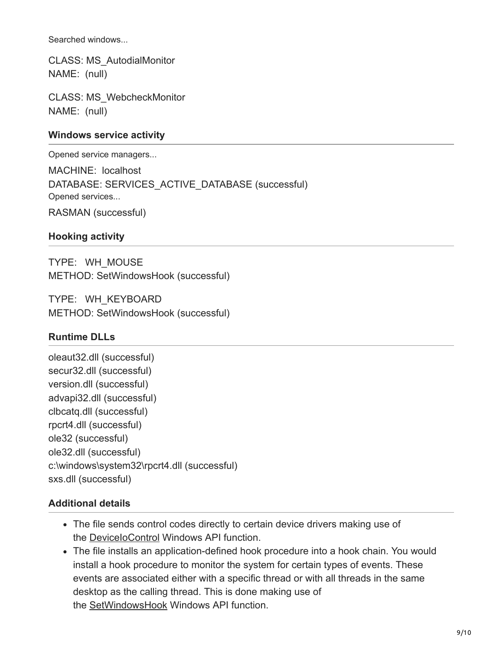Searched windows...

CLASS: MS\_AutodialMonitor NAME: (null)

CLASS: MS\_WebcheckMonitor NAME: (null)

# **Windows service activity**

Opened service managers...

MACHINE: localhost DATABASE: SERVICES ACTIVE DATABASE (successful) Opened services... RASMAN (successful)

#### **Hooking activity**

TYPE: WH\_MOUSE METHOD: SetWindowsHook (successful)

TYPE: WH\_KEYBOARD METHOD: SetWindowsHook (successful)

# **Runtime DLLs**

oleaut32.dll (successful) secur32.dll (successful) version.dll (successful) advapi32.dll (successful) clbcatq.dll (successful) rpcrt4.dll (successful) ole32 (successful) ole32.dll (successful) c:\windows\system32\rpcrt4.dll (successful) sxs.dll (successful)

# **Additional details**

- The file sends control codes directly to certain device drivers making use of the [DeviceIoControl](http://msdn.microsoft.com/en-us/library/windows/desktop/aa363216(v=vs.85).aspxhttp://msdn.microsoft.com/en-us/library/windows/desktop/aa363216(v=vs.85).aspx) Windows API function.
- The file installs an application-defined hook procedure into a hook chain. You would install a hook procedure to monitor the system for certain types of events. These events are associated either with a specific thread or with all threads in the same desktop as the calling thread. This is done making use of the [SetWindowsHook](http://msdn.microsoft.com/en-us/library/windows/desktop/ms644990(v=vs.85).aspx) Windows API function.